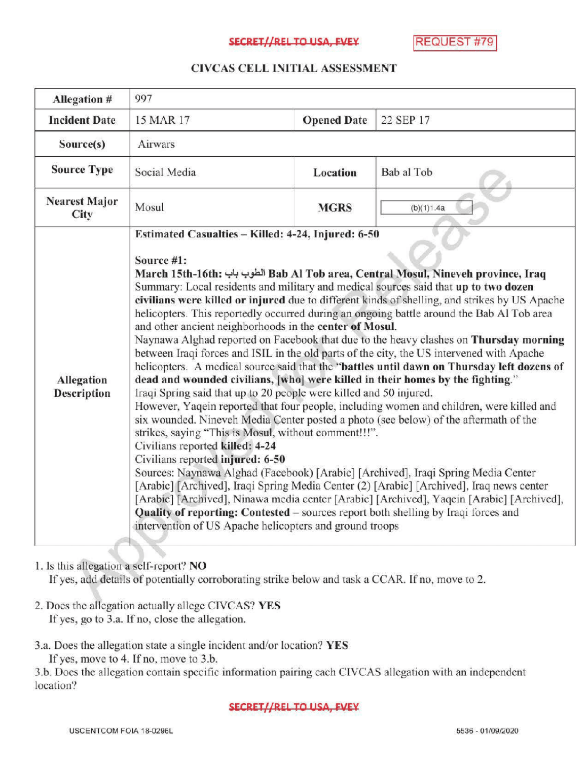### SECRET//RELTO USA, EVEY REQUEST #79

## CIVCAS CELL INITIALASSESSMENT

| Allegation #                 | 997                                                                                                                                                                                                                                                                                                                                                                                                                                                                                                                                                                                                                                                                                                                                                                                                                                                                                                                                                                                                                                                                                                                                                                                                                                                                                                                                                                                                                                                                                                                                                                                                                                                                                                 |                    |            |
|------------------------------|-----------------------------------------------------------------------------------------------------------------------------------------------------------------------------------------------------------------------------------------------------------------------------------------------------------------------------------------------------------------------------------------------------------------------------------------------------------------------------------------------------------------------------------------------------------------------------------------------------------------------------------------------------------------------------------------------------------------------------------------------------------------------------------------------------------------------------------------------------------------------------------------------------------------------------------------------------------------------------------------------------------------------------------------------------------------------------------------------------------------------------------------------------------------------------------------------------------------------------------------------------------------------------------------------------------------------------------------------------------------------------------------------------------------------------------------------------------------------------------------------------------------------------------------------------------------------------------------------------------------------------------------------------------------------------------------------------|--------------------|------------|
| <b>Incident Date</b>         | 15 MAR 17                                                                                                                                                                                                                                                                                                                                                                                                                                                                                                                                                                                                                                                                                                                                                                                                                                                                                                                                                                                                                                                                                                                                                                                                                                                                                                                                                                                                                                                                                                                                                                                                                                                                                           | <b>Opened Date</b> | 22 SEP 17  |
| Source(s)                    | Airwars                                                                                                                                                                                                                                                                                                                                                                                                                                                                                                                                                                                                                                                                                                                                                                                                                                                                                                                                                                                                                                                                                                                                                                                                                                                                                                                                                                                                                                                                                                                                                                                                                                                                                             |                    |            |
| <b>Source Type</b>           | Social Media                                                                                                                                                                                                                                                                                                                                                                                                                                                                                                                                                                                                                                                                                                                                                                                                                                                                                                                                                                                                                                                                                                                                                                                                                                                                                                                                                                                                                                                                                                                                                                                                                                                                                        | Location           | Bab al Tob |
| <b>Nearest Major</b><br>City | Mosul                                                                                                                                                                                                                                                                                                                                                                                                                                                                                                                                                                                                                                                                                                                                                                                                                                                                                                                                                                                                                                                                                                                                                                                                                                                                                                                                                                                                                                                                                                                                                                                                                                                                                               | <b>MGRS</b>        | (b)(1)1.4a |
| Allegation<br>Description    | Estimated Casualties - Killed: 4-24, Injured: 6-50<br>Source #1:<br>March 15th-16th: الطوب باب Bab Al Tob area, Central Mosul, Nineveh province, Iraq<br>Summary: Local residents and military and medical sources said that up to two dozen<br>civilians were killed or injured due to different kinds of shelling, and strikes by US Apache<br>helicopters. This reportedly occurred during an ongoing battle around the Bab Al Tob area<br>and other ancient neighborhoods in the center of Mosul.<br>Naynawa Alghad reported on Facebook that due to the heavy clashes on Thursday morning<br>between Iraqi forces and ISIL in the old parts of the city, the US intervened with Apache<br>helicopters. A medical source said that the "battles until dawn on Thursday left dozens of<br>dead and wounded civilians, [who] were killed in their homes by the fighting."<br>Iraqi Spring said that up to 20 people were killed and 50 injured.<br>However, Yaqein reported that four people, including women and children, were killed and<br>six wounded. Nineveh Media Center posted a photo (see below) of the aftermath of the<br>strikes, saying "This is Mosul, without comment!!!".<br>Civilians reported killed: 4-24<br>Civilians reported injured: 6-50<br>Sources: Naynawa Alghad (Facebook) [Arabic] [Archived], Iraqi Spring Media Center<br>[Arabic] [Archived], Iraqi Spring Media Center (2) [Arabic] [Archived], Iraq news center<br>[Arabic] [Archived], Ninawa media center [Arabic] [Archived], Yaqein [Arabic] [Archived],<br>Quality of reporting: Contested - sources report both shelling by Iraqi forces and<br>intervention of US Apache helicopters and ground troops |                    |            |

# 1. Is this allegation a self-report? NO

If yes, add details of potentially corroborating strike below and task a CCAR. If no, move to 2.

2. Does the allegation actually allege CIVCAS? YES If yes, go to 3.a. If no, close the allegation.

## 3.a. Does the allegation state <sup>a</sup> single incident and/or location? YES If yes, move to 4. If no, move to 3.b.

3.b. Does the allegation contain specific information pairing each CIVCAS allegation with an independent location?

### SECRET//REL TO USA, FVEY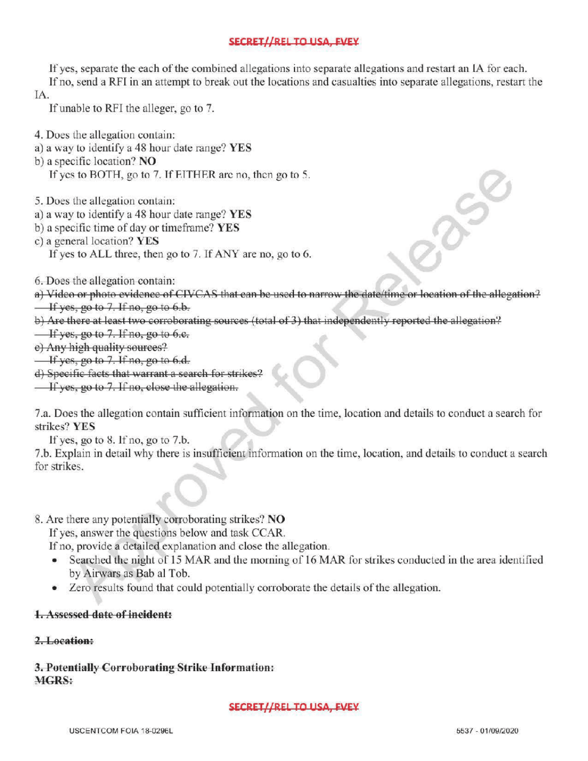# SECRET//REL TO USA, FVEY

If yes, separate the each of the combined allegations into separate allegations and restart an IA for each.

If no, send a RFI in an attempt to break out the locations and casualties into separate allegations, restart the IA

If unable to RFI the alleger, go to 7.

- 4. Does the allegation contain:
- a) a way to identify a 48 hour date range? YES
- b) a specific location? NO

If yes to BOTH, go to 7. If EITHER are no, then go to 5.

- 5. Does the allegation contain:
- a) <sup>a</sup> way to identify a 48 hour date range? YES
- b) a specific time of day or timeframe? YES
- c) a general location? YES If yes to ALL three, then go to 7. If ANY are no, go to 6.

6.Does the allegation contain :

a) Video or photo evidence of CIVCAS that can be used to narrow the date/time or location of the allegation?

- $\frac{1}{1}$  yes, go to 7. If no, go to 6.b.
- b) Are there at least two corroborating sources (total of 3) that independently reported the allegation? extal of 3) that independently reported<br>that is a set of the state of the state of the state of the state of the state of the state of the state of the state of the state of the state of the state of the state of the state

 $\frac{1}{x}$  If yes, go to 7. If no, go to 6.e.

e) Any high quality sources?

 $\frac{1}{1}$  If yes, go to 7. If no, go to 6.d.

) Specific facts that warrant <sup>a</sup> search for strikes?

 $\overline{\phantom{a}}$  If yes, go to 7. If no, close the allegation,

7.a. Does the allegation contain sufficient information on the time, location and details to conduct a search for strikes? YES

If yes, go to  $8$ . If no, go to  $7.b$ .

7.b. Explain in detail why there is insufficient information on the time, location , and details to conduct <sup>a</sup> search for strikes.

8. Are there any potentially corroborating strikes? NO

If yes, answer the questions below and task CCAR.

If no, provide a detailed explanation and close the allegation.

- Searched the night of <sup>15</sup> MAR and the morning of 16 MAR for strikes conducted in the area identified by Airwars as Bab al Tob.
- Zero results found that could potentially corroborate the details of the allegation.

## Assessed date of incident:

## 2.Location:

3. Potentially Corroborating Strike Information: MGRS:

### SECRET//REL TO USA, FVEY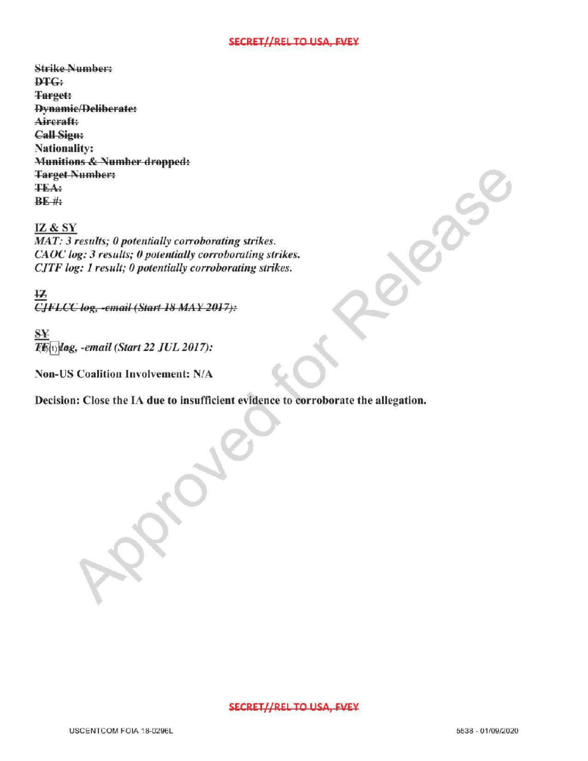#### SECRET//REL TO USA, FVEY

Strike Number: DTG: **Target:** Dynamic/Deliberate: Aircraft: Call Sign: Nationality: Munitions & Number dropped: Target Number: TEA:  $BE$ #

### IZ& SY

 $MAT: 3 results; 0 potentially corroborating strikes.$ CAOC log: 3 results; 0 potentially corroborating strikes. CJTF log: 1 result; 0 potentially corroborating strikes.  $S<sub>strikes.</sub>$ 

 $\overline{12}$ log, -email ( Start <sup>18</sup>

SY  $\overline{T(K_{(1)})}$ lag, -email (Start 22 JUL 2017):

Non-US Coalition Involvement: N/A

Decision: Close the IA due to insufficient evidence to corroborate the allegation.

 $\mathcal{R}$ 

#### SECRET//REL TO USA, FVEY